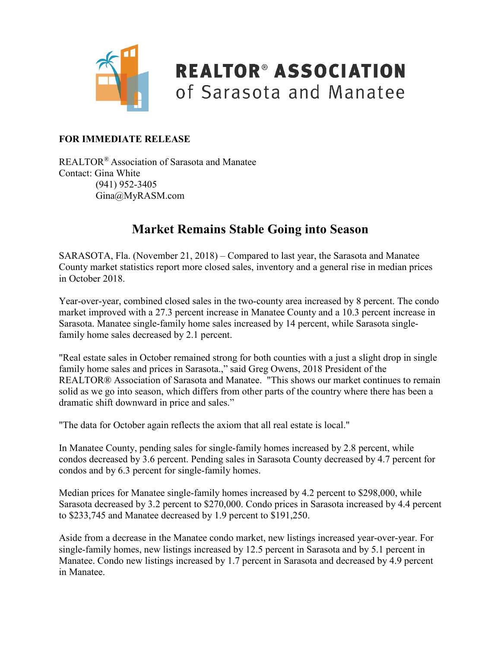

### **REALTOR® ASSOCIATION** of Sarasota and Manatee

#### **FOR IMMEDIATE RELEASE**

REALTOR® Association of Sarasota and Manatee Contact: Gina White (941) 952-3405 Gina@MyRASM.com

#### **Market Remains Stable Going into Season**

SARASOTA, Fla. (November 21, 2018) – Compared to last year, the Sarasota and Manatee County market statistics report more closed sales, inventory and a general rise in median prices in October 2018.

Year-over-year, combined closed sales in the two-county area increased by 8 percent. The condo market improved with a 27.3 percent increase in Manatee County and a 10.3 percent increase in Sarasota. Manatee single-family home sales increased by 14 percent, while Sarasota singlefamily home sales decreased by 2.1 percent.

"Real estate sales in October remained strong for both counties with a just a slight drop in single family home sales and prices in Sarasota.," said Greg Owens, 2018 President of the REALTOR® Association of Sarasota and Manatee. "This shows our market continues to remain solid as we go into season, which differs from other parts of the country where there has been a dramatic shift downward in price and sales."

"The data for October again reflects the axiom that all real estate is local."

In Manatee County, pending sales for single-family homes increased by 2.8 percent, while condos decreased by 3.6 percent. Pending sales in Sarasota County decreased by 4.7 percent for condos and by 6.3 percent for single-family homes.

Median prices for Manatee single-family homes increased by 4.2 percent to \$298,000, while Sarasota decreased by 3.2 percent to \$270,000. Condo prices in Sarasota increased by 4.4 percent to \$233,745 and Manatee decreased by 1.9 percent to \$191,250.

Aside from a decrease in the Manatee condo market, new listings increased year-over-year. For single-family homes, new listings increased by 12.5 percent in Sarasota and by 5.1 percent in Manatee. Condo new listings increased by 1.7 percent in Sarasota and decreased by 4.9 percent in Manatee.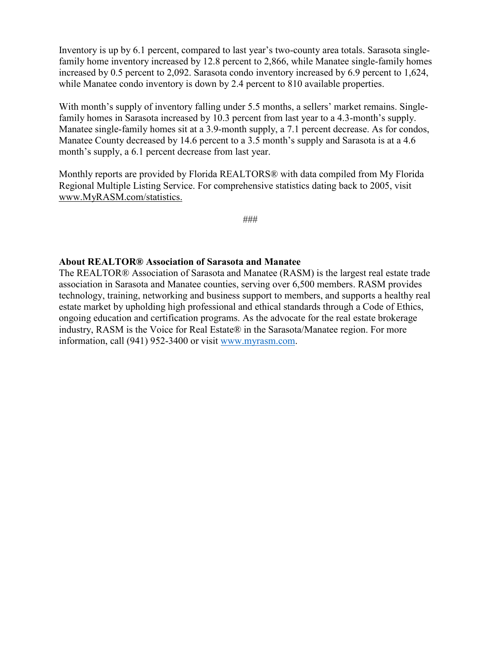Inventory is up by 6.1 percent, compared to last year's two-county area totals. Sarasota singlefamily home inventory increased by 12.8 percent to 2,866, while Manatee single-family homes increased by 0.5 percent to 2,092. Sarasota condo inventory increased by 6.9 percent to 1,624, while Manatee condo inventory is down by 2.4 percent to 810 available properties.

With month's supply of inventory falling under 5.5 months, a sellers' market remains. Singlefamily homes in Sarasota increased by 10.3 percent from last year to a 4.3-month's supply. Manatee single-family homes sit at a 3.9-month supply, a 7.1 percent decrease. As for condos, Manatee County decreased by 14.6 percent to a 3.5 month's supply and Sarasota is at a 4.6 month's supply, a 6.1 percent decrease from last year.

Monthly reports are provided by Florida REALTORS® with data compiled from My Florida Regional Multiple Listing Service. For comprehensive statistics dating back to 2005, visit [www.MyRASM.com/statistics.](http://www.myrasm.com/statistics)

###

#### **About REALTOR® Association of Sarasota and Manatee**

The REALTOR® Association of Sarasota and Manatee (RASM) is the largest real estate trade association in Sarasota and Manatee counties, serving over 6,500 members. RASM provides technology, training, networking and business support to members, and supports a healthy real estate market by upholding high professional and ethical standards through a Code of Ethics, ongoing education and certification programs. As the advocate for the real estate brokerage industry, RASM is the Voice for Real Estate® in the Sarasota/Manatee region. For more information, call (941) 952-3400 or visit [www.myrasm.com.](http://www.myrasm.com/)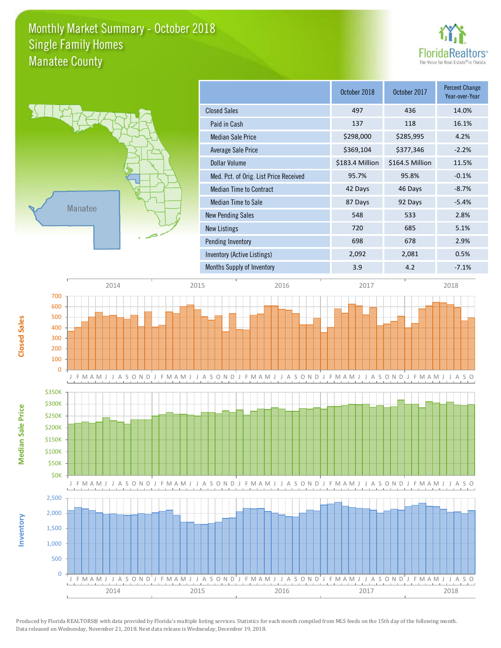### Monthly Market Summary - October 2018 Manatee County Single Family Homes





**Median Sale Price**

**Median Sale Price** 

**Closed Sales**

**Inventory**

| October 2018    | October 2017    | <b>Percent Change</b><br>Year-over-Year |
|-----------------|-----------------|-----------------------------------------|
| 497             | 436             | 14.0%                                   |
| 137             | 118             | 16.1%                                   |
| \$298,000       | \$285,995       | 4.2%                                    |
| \$369,104       | \$377,346       | $-2.2%$                                 |
| \$183.4 Million | \$164.5 Million | 11.5%                                   |
| 95.7%           | 95.8%           | $-0.1%$                                 |
| 42 Days         | 46 Days         | $-8.7%$                                 |
| 87 Days         | 92 Days         | $-5.4%$                                 |
| 548             | 533             | 2.8%                                    |
| 720             | 685             | 5.1%                                    |
| 698             | 678             | 2.9%                                    |
| 2,092           | 2,081           | 0.5%                                    |
| 3.9             | 4.2             | $-7.1%$                                 |
|                 |                 |                                         |

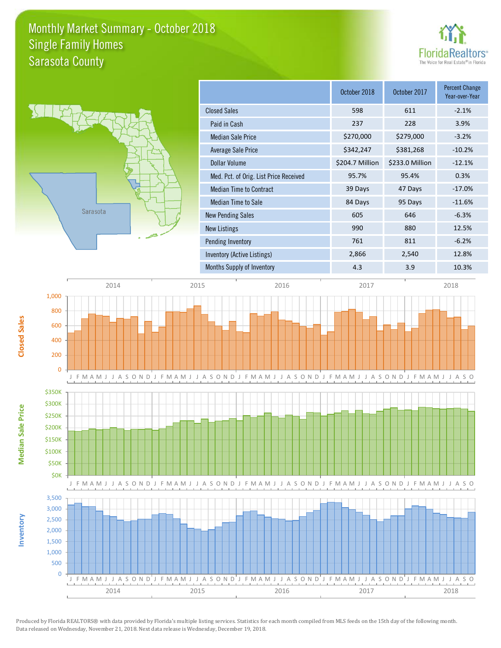### Monthly Market Summary - October 2018 Sarasota County Single Family Homes





**Median Sale Price**

**Median Sale Price** 

**Closed Sales**

**Inventory**

|                                        | October 2018    | October 2017    | <b>Percent Change</b><br>Year-over-Year |
|----------------------------------------|-----------------|-----------------|-----------------------------------------|
| <b>Closed Sales</b>                    | 598             | 611             | $-2.1%$                                 |
| Paid in Cash                           | 237             | 228             | 3.9%                                    |
| <b>Median Sale Price</b>               | \$270,000       | \$279,000       | $-3.2%$                                 |
| Average Sale Price                     | \$342,247       | \$381,268       | $-10.2%$                                |
| Dollar Volume                          | \$204.7 Million | \$233.0 Million | $-12.1%$                                |
| Med. Pct. of Orig. List Price Received | 95.7%           | 95.4%           | 0.3%                                    |
| <b>Median Time to Contract</b>         | 39 Days         | 47 Days         | $-17.0%$                                |
| Median Time to Sale                    | 84 Days         | 95 Days         | $-11.6%$                                |
| <b>New Pending Sales</b>               | 605             | 646             | $-6.3%$                                 |
| <b>New Listings</b>                    | 990             | 880             | 12.5%                                   |
| Pending Inventory                      | 761             | 811             | $-6.2%$                                 |
| Inventory (Active Listings)            | 2,866           | 2,540           | 12.8%                                   |
| Months Supply of Inventory             | 4.3             | 3.9             | 10.3%                                   |



Produced by Florida REALTORS® with data provided by Florida's multiple listing services. Statistics for each month compiled from MLS feeds on the 15th day of the following month. Data released on Wednesday, November 21, 2018. Next data release is Wednesday, December 19, 2018.

2014 2015 2016 2016 2017 2018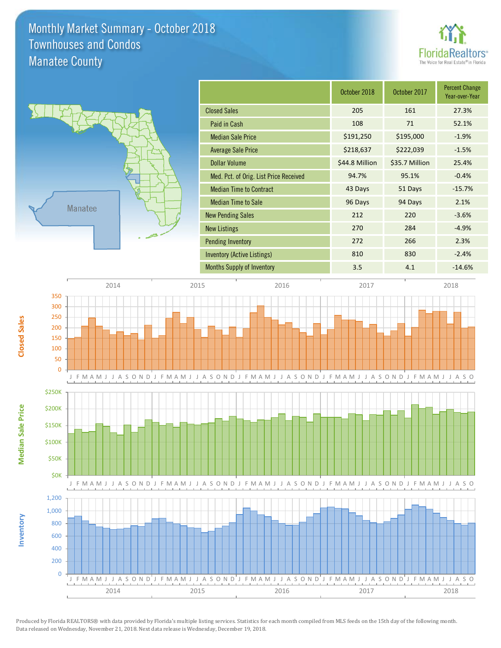### Monthly Market Summary - October 2018 Manatee County Townhouses and Condos





**Median Sale Price**

**Median Sale Price** 

**Closed Sales**

**Inventory**

|                                        | October 2018   | October 2017   | <b>Percent Change</b><br>Year-over-Year |
|----------------------------------------|----------------|----------------|-----------------------------------------|
| <b>Closed Sales</b>                    | 205            | 161            | 27.3%                                   |
| Paid in Cash                           | 108            | 71             | 52.1%                                   |
| <b>Median Sale Price</b>               | \$191,250      | \$195,000      | $-1.9%$                                 |
| <b>Average Sale Price</b>              | \$218,637      | \$222,039      | $-1.5%$                                 |
| <b>Dollar Volume</b>                   | \$44.8 Million | \$35.7 Million | 25.4%                                   |
| Med. Pct. of Orig. List Price Received | 94.7%          | 95.1%          | $-0.4%$                                 |
| <b>Median Time to Contract</b>         | 43 Days        | 51 Days        | $-15.7%$                                |
| <b>Median Time to Sale</b>             | 96 Days        | 94 Days        | 2.1%                                    |
| <b>New Pending Sales</b>               | 212            | 220            | $-3.6%$                                 |
| <b>New Listings</b>                    | 270            | 284            | $-4.9%$                                 |
| <b>Pending Inventory</b>               | 272            | 266            | 2.3%                                    |
| <b>Inventory (Active Listings)</b>     | 810            | 830            | $-2.4%$                                 |
| <b>Months Supply of Inventory</b>      | 3.5            | 4.1            | $-14.6%$                                |

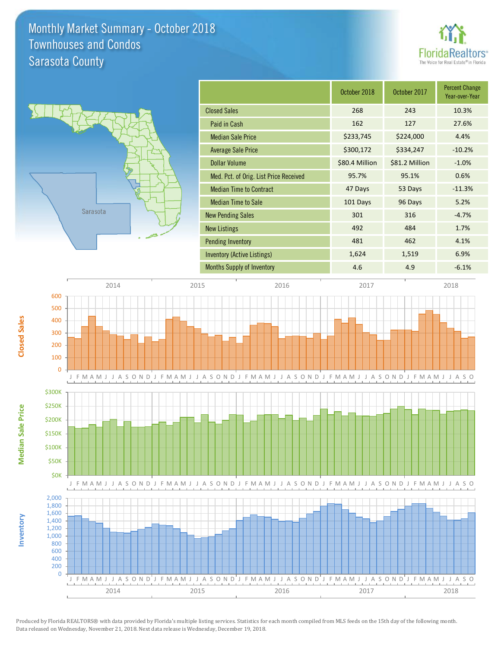### Monthly Market Summary - October 2018 Sarasota County Townhouses and Condos





|                                        | October 2018   | October 2017   | <b>Percent Change</b><br>Year-over-Year |
|----------------------------------------|----------------|----------------|-----------------------------------------|
| <b>Closed Sales</b>                    | 268            | 243            | 10.3%                                   |
| Paid in Cash                           | 162            | 127            | 27.6%                                   |
| <b>Median Sale Price</b>               | \$233,745      | \$224,000      | 4.4%                                    |
| <b>Average Sale Price</b>              | \$300,172      | \$334,247      | $-10.2%$                                |
| <b>Dollar Volume</b>                   | \$80.4 Million | \$81.2 Million | $-1.0%$                                 |
| Med. Pct. of Orig. List Price Received | 95.7%          | 95.1%          | 0.6%                                    |
| <b>Median Time to Contract</b>         | 47 Days        | 53 Days        | $-11.3%$                                |
| <b>Median Time to Sale</b>             | 101 Days       | 96 Days        | 5.2%                                    |
| <b>New Pending Sales</b>               | 301            | 316            | $-4.7%$                                 |
| <b>New Listings</b>                    | 492            | 484            | 1.7%                                    |
| <b>Pending Inventory</b>               | 481            | 462            | 4.1%                                    |
| Inventory (Active Listings)            | 1,624          | 1,519          | 6.9%                                    |
| <b>Months Supply of Inventory</b>      | 4.6            | 4.9            | $-6.1%$                                 |



Produced by Florida REALTORS® with data provided by Florida's multiple listing services. Statistics for each month compiled from MLS feeds on the 15th day of the following month. Data released on Wednesday, November 21, 2018. Next data release is Wednesday, December 19, 2018.

2014 2015 2016 2016 2017 2018

**Closed Sales**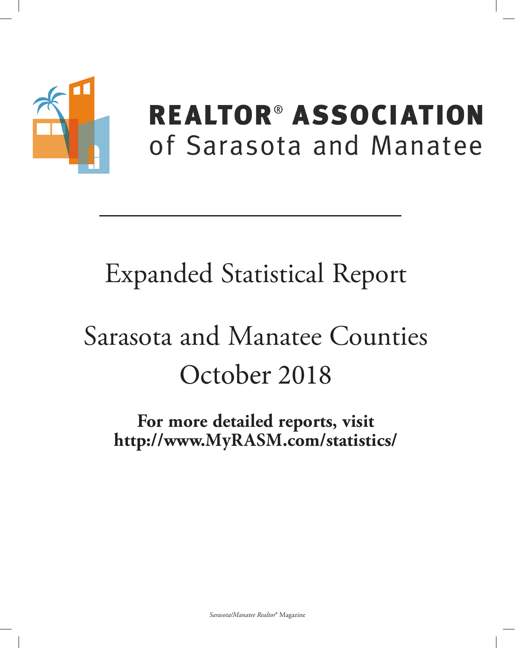

## **REALTOR® ASSOCIATION** of Sarasota and Manatee

## **Expanded Statistical Report**

# Sarasota and Manatee Counties October 2018

For more detailed reports, visit http://www.MyRASM.com/statistics/

Sarasota/Manatee Realtor® Magazine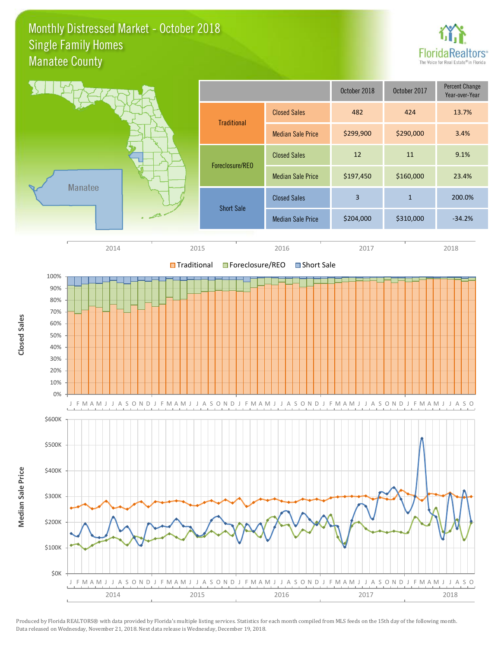### Monthly Distressed Market - October 2018 Manatee County Single Family Homes



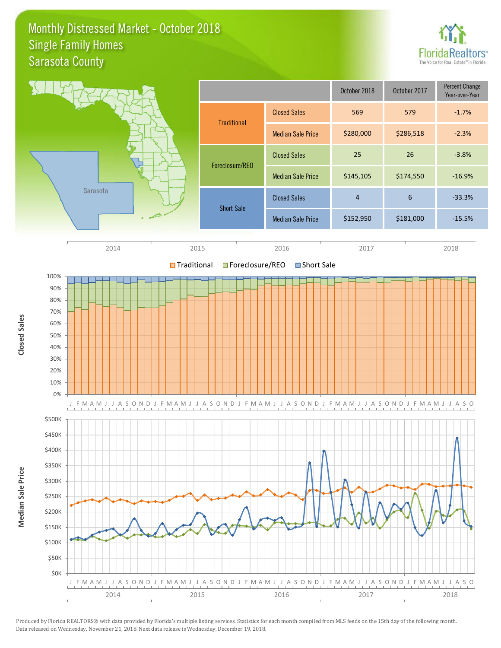### Monthly Distressed Market - October 2018 Sarasota County Single Family Homes



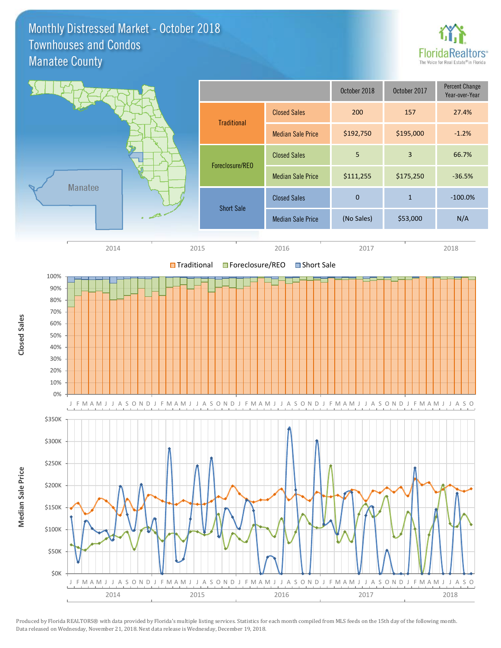### Monthly Distressed Market - October 2018 Manatee County Townhouses and Condos